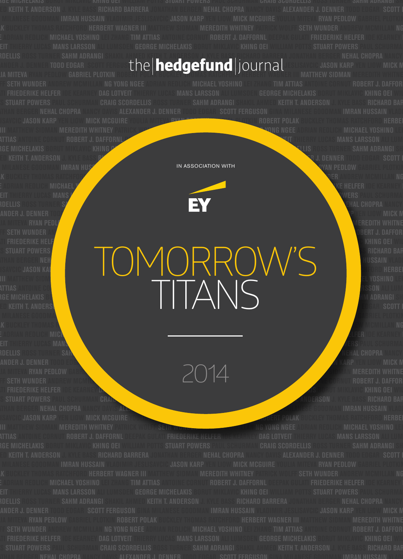### **SCORDELLIS ROSS TURNER SAHM ADRANGI SHAKIL AHMED KEITH T. ANDERSON J. KYLE BASS RICHARD BARRERA JONATHAN BERGER NEHAL CHOPRA NANCY DAVIS** ANDER J. DENNER TODD EDGAR SCOTT FERGUST**ina Inden den antight in antight in antight in the se**slisavcic jason karp yen liow mick m IA MITEVA RYAN PEDLOW **gabriel plotkin** robert polak buckley <del>ya</del>owas ratchfor<sup>d</sup> herbert wagner **iii matthew sidman meredith whitne**

**GEORGE MICHELAKIS BORUT MIKLAVIC KHING OEI WILLIAM POTTS STUART POWERS PAUL SCHURMAN CRAIG SCORDELLIS ROSS TURNER SAHM ADRANGI SHAKIL** 

ISAVCIC **JASON KARP** YEN LIOW **Mick mcGuire** youlia miteva <mark>ryan person to the matkin robert polak</mark> buckley thomas ratchford herbei NER III MATTHEW SIDMAN MEREDITH WHITNEY PATRICK WOLFF SETHIOPHONG WORKEN WORKEN WORKEN ADRIAN REDLICH MICHAEL YOSHINO LEI **TIMES ANTOINE CORNUT ROBERT J. DAFFORNL DEEPAK GULATI FRIEDERIKE HELFER IDE KEARNEY DAG MANS LARSSON ALI LUMI** RGE MICHELAKIS BORUT MIKLAVIC KHING O**ei william powers and stuart powers and stuart powers of the students of the students of the students of the students of the students of the students of the students of the students of AHMED KEITH T. ANDERSON J. KYLE BASS RICHARD BARRERA JONATHAN BERGER NEHAL CHOPRA NANCY DAVIS ALEXANDER J. DENNER TODD EDGAR SCOTT FERGUSON** 

NGEEN ADRIAN REDLICH MICHAEL Y<mark>oshino lei zhang tim attias antoine cornet attias antoine cornet attias antoine cornet attias antoine cornet attias antoine cornet attias antoine cornet attias antoine cornet attias antoine c</mark> LOTT THIERRY LUCAS MANS LARS MICHELARS MICHELAN COMPUTER COMPUTER COMPUTER STUART POWERS PAUL SCHURMAN CRAIG A<br>Robellis ross turnier s/ ANDER J. DENNER <u>todd engar scott fer gunde stad in the scott fergus of the scott fergus of the scott fergus of the scott fergus of the scott fergus of the scott fergus of the scott fergus of the scott fergus of the scott </u> YOULIA MITENA RYAN PEDL<mark>ow Gabriel Plotter and the company of the company of the company of the company of the company of the company of the company of the company of the company of the company of the company of the compan</mark>

**GINAL MILANESE GOODMAN IMRAN HUSSAIN VLADIMIR JESU SAIN VLADIMIR JESU SAIN VERSOCIATION WITH** IN ASSOCIATION WITH



WOLFF SETH WUNDER AND REDUCTION OF THE SETH WUNDER AND THE SETH WUNDER AND THE SETH WUNDER AND DESCRIPTION OF T<br>In the sething the sething of the sething of the sething of the sething of the sething of the sething of the s GULATI FRIEDERIKE HELF<mark>er in</mark>den ali lucas mans larsson ali lucas mans larsson ali lucas mans larsson ali lucas ma **POTTS STUART POWERS PAUL SCHUR STUART POWERS PAUL SCHUR SCHUR SCHUR SCHUR SCHUR SCHUR SCHUR SCHUR SCHUR SCHUR SCHUR SCHUR SCHUR SCHUR SCHUR SCHUR SCHUR SCHUR SCHUR SCHUR SCHUR SCHUR SCHUR SCHUR SCHUR SCHUR SCHUR SCHUR SCH JONATHAN BERGER NEHAL CHOPRA NANCY DAVIS ALEXANDER J. DENNER TODD EDGAR SCOTT FERGUSON GINA MILANESE GOODMAN IMRAN HUSSAIN VLADIMIR IESLIVEID JASON KA<mark>RP</mark> (USI) | III | III) | III | III | III | III | III | III | IERBERT | III | III | IERBERT WAG-ARP | III | III | III | IERBERT WAG-ARP | III | III | III | IERBERT WAG-ARP | III | III | III | III | III | NER INER INER IN SIDMAN MEREDITH WUNDER AND RED. WE WANT IN SIDE ADDITION WORKER SETH WURDER AND RED. WE WANT IN SIDE ADDITION OF THE SIDE OF THE SIDE OF THE SIDE OF THE SIDE OF THE SIDE OF THE SIDE OF THE SIDE OF THE SID TIMES ANTOINE CORNUT ROBERT J. DAFFORNL DEEPAK GULATI FRIEDERIKE HELFER IDE KEARNEY DAG LOTVEIT THIERRY LUCAS MA** RGE MICHELAKIS BO<mark>rum</mark>a miklavic khing oei miklavic khing oei miklavic khing oei miklavic khing oei miklavic khing o AHMED ANDERSON J. KEITH T. ANDERSON J. KYLE BASS RICHARD BASS RICHARD BARRERA JONATHAN BERGER NEHAL CHOPRA NANCY DAVIS ALEXANDER SCOTT F **MILANESE GOODMAN IMPARTIEL PLOTKIN VLADIMIR JESUIT VLADIMIR JESUIT VLADIMIR JESUIT VLADIMIR JESUIT VLADIMIR PLOTKIN** TOMORROW'S TITANS

2014

**JOHAN BERGER NEHAL CHOPRA NANCY DAVIS ALEXANDER J. DENNER TODD EDGAR SCOTT FERGUSAL STRANDER IMRAN HUSSAIN VLADI** ISAVCIC **JASON KARP** YEN LIOW **Mick mcGuire** you and the production of the product of the product of the product of thomas ratchford herber III MATTHEW SIDMAN **meredith whitney** patrick wolff seth w<del>onder and andrew micha</del>n ng yong ngee adrian redlich michael yoshino lei ATTIAS ANTOINE GORNUT **Robert J. Daffornl** deepak gulati **Friederike helfer ide kearney dag lotveit** thierry lucas **mans larsson** ali lumi

**JONATHAN BERGER NEHAL CHOPRA NANCY DAVIS ALEXANDER J. DENNER TODD EDGAR SCOTT FERGUSON GINA MILANESE GOODMAN IMRAN HUSSAIN VLADIMIR** 

E ADRIAN REDLICH **michael yoshing tim attias antoine component attitude antique antique antique antique antique antique antique antique antique and the correct of the correct of the correct of the correct of the correct of** 

**R** BUCKLEY THOMAS RATCHFORD HERBERT WAS SIDMAN MEREDITH WAS SIDMAN MEREDITH WAS SIDMAN MEREDITH WAS SIDMAN MCMILLAN NG YONG ANDREW SIDMAN MEREDITH WAS SIDMAN MEREDITH WAS SIDMAN MCMILLAN MC

LOT THIERRY LUGAS **MANS LARSIN ALI LUMBU MICHELARI MI**CHELA ALI LUMBU MICHELARI MICHELARI MICHELARI MICHELARI MICHELARI MICHELARI MICHELARI MICHELARI MICHELARI MICHELARI MICHELARI MICHELARI MICHELARI MICHELARI MICHELARI MI SCORDELLIS ROSS TURNER SAHM ADAPTA SHAKIL AHMED KEITH T. ANDERSON J. KYLE BASS RICHARD BARRERA JONATHAN BERGER N **ANDER J. DENNER TODD EDGAR SCOTT FERGUSAL SCOTT FERGUSAL SCOTT FERGUSAL SCOTT FERGUSAL SCOTT FERGUSAL SCOTT FERGUSAL SCOTT FERGUSAL SCOTT FERGUSAL SCOTT FERGUSAL SCOTT FERGUSAL SCOTT FERGUSAL SCOTT FERGUSAL SCOTT FERGUSAL Your RYAN PEDLOW GABRIEL PLOTKIN ROBERT POLAK BUCKLEY THOMAS RATCHFORD III MATTHEW SIDMAN MEREDITH WHITNE** WOLFF SETH WUNDER ANDREW MCMILLAND NG YOSHINO LEI ZHANG TIM ATTIAS ANG TIM ATTIAS ANTONING TIM ATTIAS ANG KURI DEEPAK ADRIAN ROBERT J. DAFFOR GULATI FRIEDERIKE HELFER IDE KEARNEY DAG LOTUS DAG LOTUS DAG LOTUS DAG LOTUS DAG LOTUS DAG LOTUS DAG LOTUS DAG<br>Sin thierry lucas man ali lucas dagaan ali lucas dagaan ali lucas dagaan ali lucas michelakis borut miklavic kh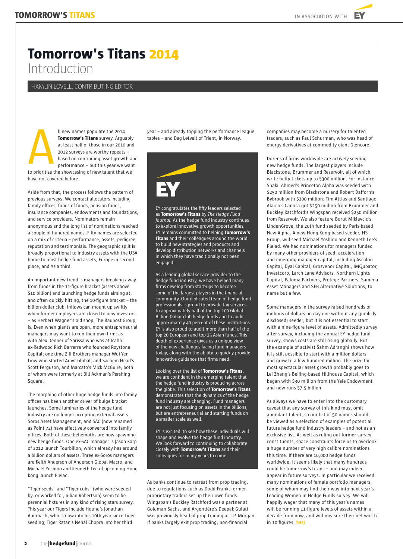**EV** 

# **Tomorrow's Titans 2014** Introduction

HAMLIN LOVELL, CONTRIBUTING EDITOR

ll new names populate the 2014 **Tomorrow's Titans** survey. Arguably at least half of those in our 2010 and 2012 surveys are worthy repeats – based on continuing asset growth and performance – but this year we want  $\sum_{\text{to private}}$ 

to prioritize the showcasing of new talent that we have not covered before.

Aside from that, the process follows the pattern of previous surveys. We contact allocators including family offices, funds of funds, pension funds, insurance companies, endowments and foundations, and service providers. Nominators remain anonymous and the long list of nominations reached a couple of hundred names. Fifty names are selected on a mix of criteria – performance, assets, pedigree, reputation and testimonials. The geographic split is broadly proportional to industry assets with the USA home to most hedge fund assets, Europe in second place, and Asia third.

An important new trend is managers breaking away from funds in the 11-figure bracket (assets above \$10 billion) and launching hedge funds aiming at, and often quickly hitting, the 10-figure bracket – the billion-dollar club. Inflows can mount up swiftly when former employers are closed to new investors – as Herbert Wagner's old shop, The Baupost Group, is. Even when giants are open, more entrepreneurial managers may want to run their own firm: as with Alex Denner of Sarissa who was at Icahn; ex-Redwood Rich Barrerra who founded Roystone Capital; one time Ziff Brothers manager Wui Yen Liow who started Aravt Global; and Sachem Head's Scott Ferguson, and Marcato's Mick McGuire, both of whom were formerly at Bill Ackman's Pershing Square.

The morphing of other huge hedge funds into family offices has been another driver of bulge bracket launches. Some luminaries of the hedge fund industry are no longer accepting external assets. Soros Asset Management, and SAC (now renamed as Point 72) have effectively converted into family offices. Both of these behemoths are now spawning new hedge funds. One ex-SAC manager is Jason Karp of 2012 launch Tourbillon, which already has around a billion dollars of assets. Three ex-Soros managers are Keith Anderson of Anderson Global Macro, and Michael Yoshino and Kenneth Lee of upcoming Hong Kong launch Pleiad.

"Tiger seeds" and "Tiger cubs" (who were seeded by, or worked for, Julian Robertson) seem to be perennial fixtures in any kind of rising stars survey. This year our Tigers include Hound's Jonathan Auerbach, who is now into his 10th year since Tiger seeding; Tiger Ratan's Nehal Chopra into her third

year – and already topping the performance league tables – and Dag Løtveit of Trient, in Norway.



EY congratulates the fifty leaders selected as **Tomorrow's Titans** by *The Hedge Fund Journal.* As the hedge fund industry continues to explore innovative growth opportunities, EY remains committed to helping **Tomorrow's Titans** and their colleagues around the world to build new strategies and products and develop distribution networks and channels in which they have traditionally not been engaged.

As a leading global service provider to the hedge fund industry, we have helped many firms develop from start-ups to become some of the largest players in the financial community. Our dedicated team of hedge fund professionals is proud to provide tax services to approximately half of the top 100 Global Billion Dollar club hedge funds and to audit approximately 40 percent of these institutions. EY is also proud to audit more than half of the top 20 European and top 25 Asian funds. This depth of experience gives us a unique view of the new challenges facing fund managers today, along with the ability to quickly provide innovative guidance that firms need.

Looking over the list of **Tomorrow's Titans**, we are confident in the emerging talent that the hedge fund industry is producing across the globe. This selection of **Tomorrow's Titans** demonstrates that the dynamics of the hedge fund industry are changing. Fund managers are not just focusing on assets in the billions, but are entrepreneurial and starting funds on a smaller scale as well.

EY is excited to see how these individuals will shape and evolve the hedge fund industry. We look forward to continuing to collaborate closely with **Tomorrow's Titans** and their colleagues for many years to come.

As banks continue to retreat from prop trading, due to regulations such as Dodd-Frank, former proprietary traders set up their own funds. Wingspan's Buckley Ratchford was a partner at Goldman Sachs, and Argentière's Deepak Gulati was previously head of prop trading at J.P. Morgan. If banks largely exit prop trading, non-financial

companies may become a nursery for talented traders, such as Paul Schurman, who was head of energy derivatives at commodity giant Glencore.

Dozens of firms worldwide are actively seeding new hedge funds. The largest players include Blackstone, Brummer and Reservoir, all of which write hefty tickets up to \$300 million. For instance Shakil Ahmed's Princeton Alpha was seeded with \$250 million from Blackstone and Robert Dafforn's Bybrook with \$200 million; Tim Attias and Santiago Alarco's Canosa got \$250 million from Brummer and Buckley Ratchford's Wingspan received \$250 million from Reservoir. We also feature Borut Miklavcic's LindenGrove, the 20th fund seeded by Paris-based New Alpha. A new Hong Kong-based seeder, HS Group, will seed Michael Yoshino and Kenneth Lee's Pleiad. We had nominations for managers funded by many other providers of seed, acceleration and emerging manager capital, including Ascalon Capital, Dyal Capital, Grosvenor Capital, IMQubator, Investcorp, Larch Lane Advisors, Northern Lights Capital, Paloma Partners, Protégé Partners, Samena Asset Managers and SEB Alternative Solutions, to name but a few.

Some managers in the survey raised hundreds of millions of dollars on day one without any (publicly disclosed) seeder, but it is not essential to start with a nine-figure level of assets. Admittedly survey after survey, including the annual EY hedge fund survey, shows costs are still rising globally. But the example of activist Sahm Adranghi shows how it is still possible to start with a million dollars and grow to a few hundred million. The prize for most spectacular asset growth probably goes to Lei Zhang's Beijing-based Hillhouse Capital, which began with \$30 million from the Yale Endowment and now runs \$7.5 billion.

As always we have to enter into the customary caveat that any survey of this kind must omit abundant talent, so our list of 50 names should be viewed as a selection of examples of potential future hedge fund industry leaders – and not as an exclusive list. As well as ruling out former survey constituents, space constraints force us to overlook a huge number of very high calibre nominations this time. If there are 10,000 hedge funds worldwide, it seems likely that many hundreds could be tomorrow's titans – and may indeed appear in future surveys. In particular we received many nominations of female portfolio managers, some of whom may find their way into next year's Leading Women in Hedge Funds survey. We will happily wager that many of this year's names will be running 11-figure levels of assets within a decade from now, and will measure their net worth in 10 figures. **THFJ**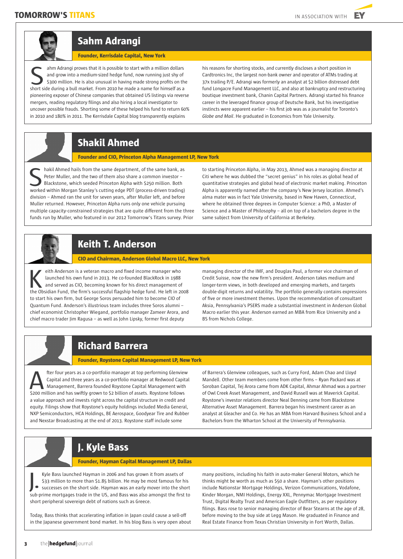

# **Sahm Adrangi**

#### **Founder, Kerrisdale Capital, New York**

ahm Adrangi proves that it is possible to start with a million dollars and grow into a medium-sized hedge fund, now running just shy of \$300 million. He is also unusual in having made strong profits on the short side during a bull market. From 2010 he made a name for himself as a name for short side during a bull market. From 2010 he made a name for himself as a sum short side during a bull market. From 2010 he made a name f pioneering exposer of Chinese companies that obtained US listings via reverse mergers, reading regulatory filings and also hiring a local investigator to uncover possible frauds. Shorting some of these helped his fund to return 60% in 2010 and 180% in 2011. The Kerrisdale Capital blog transparently explains

his reasons for shorting stocks, and currently discloses a short position in Cardtronics Inc, the largest non-bank owner and operator of ATMs trading at 37x trailing P/E. Adrangi was formerly an analyst at \$2 billion distressed debt fund Longacre Fund Management LLC, and also at bankruptcy and restructuring boutique investment bank, Chanin Capital Partners. Adrangi started his finance career in the leveraged finance group of Deutsche Bank, but his investigative instincts were apparent earlier – his first job was as a journalist for Toronto's *Globe and Mail*. He graduated in Economics from Yale University.

# **Shakil Ahmed**

#### **Founder and CIO, Princeton Alpha Management LP, New York**

hakil Ahmed hails from the same department, of the same bank, as Peter Muller, and the two of them also share a common investor – Blackstone, which seeded Princeton Alpha with \$250 million. Both hakil Ahmed hails from the same department, of the same bank, as<br>Peter Muller, and the two of them also share a common investor –<br>Blackstone, which seeded Princeton Alpha with \$250 million. Both<br>worked within Morgan Stanle division – Ahmed ran the unit for seven years, after Muller left, and before Muller returned. However, Princeton Alpha runs only one vehicle pursuing multiple capacity-constrained strategies that are quite different from the three funds run by Muller, who featured in our 2012 Tomorrow's Titans survey. Prior

to starting Princeton Alpha, in May 2013, Ahmed was a managing director at Citi where he was dubbed the "secret genius" in his roles as global head of quantitative strategies and global head of electronic market making. Princeton Alpha is apparently named after the company's New Jersey location. Ahmed's alma mater was in fact Yale University, based in New Haven, Connecticut, where he obtained three degrees in Computer Science: a PhD, a Master of Science and a Master of Philosophy – all on top of a bachelors degree in the same subject from University of California at Berkeley.



### **Keith T. Anderson**

#### **CIO and Chairman, Anderson Global Macro LLC, New York**

eith Anderson is a veteran macro and fixed income manager who launched his own fund in 2013. He co-founded BlackRock in 1988 and served as CIO, becoming known for his direct management of eith Anderson is a veteran macro and fixed income manager who<br>launched his own fund in 2013. He co-founded BlackRock in 1988<br>and served as CIO, becoming known for his direct management of<br>the Obsidian Fund, the firm's succ to start his own firm, but George Soros persuaded him to become CIO of Quantum Fund. Anderson's illustrious team includes three Soros alumni – chief economist Christopher Wiegand, portfolio manager Zameer Arora, and chief macro trader Jim Ragusa - as well as John Lipsky, former first deputy

managing director of the IMF, and Douglas Paul, a former vice chairman of Credit Suisse, now the new firm's president. Anderson takes medium and longer-term views, in both developed and emerging markets, and targets double-digit returns and volatility. The portfolio generally contains expressions of five or more investment themes. Upon the recommendation of consultant Aksia, Pennsylvania's PSERS made a substantial investment in Anderson Global Macro earlier this year. Anderson earned an MBA from Rice University and a BS from Nichols College.

### **Richard Barrera**

#### **Founder, Roystone Capital Management LP, New York**

fter four years as a co-portfolio manager at top performing Glenview Capital and three years as a co-portfolio manager at Redwood Capital Management, Barrera founded Roystone Capital Management with **Example 1200** fter four years as a co-portfolio manager at top performing Glenviev Capital and three years as a co-portfolio manager at Redwood Capital Management, Barrera founded Roystone Capital Management with \$200 mil a value approach and invests right across the capital structure in credit and equity. Filings show that Roystone's equity holdings included Media General, NXP Semiconductors, HCA Holdings, BE Aerospace, Goodyear Tire and Rubber and Nexstar Broadcasting at the end of 2013. Roystone staff include some

of Barrera's Glenview colleagues, such as Curry Ford, Adam Chao and Lloyd Mandell. Other team members come from other firms – Ryan Packard was at Soroban Capital, Tej Arora came from ADK Capital, Ahmar Ahmad was a partner of Owl Creek Asset Management, and David Russell was at Maverick Capital. Roystone's investor relations director Neal Denning came from Blackstone Alternative Asset Management. Barrera began his investment career as an analyst at Gleacher and Co. He has an MBA from Harvard Business School and a Bachelors from the Wharton School at the University of Pennsylvania.

### **J. Kyle Bass**

#### **Founder, Hayman Capital Management LP, Dallas**

Kyle Bass launched Hayman in 2006 and has grown it from assets of \$33 million to more than \$1.85 billion. He may be most famous for his successes on the short side. Hayman was an early mover into the short sub-prime mortgages trade in the US, and Bass was also amongst the first to short peripheral sovereign debt of nations such as Greece. J.

Today, Bass thinks that accelerating inflation in Japan could cause a sell-off in the Japanese government bond market. In his blog Bass is very open about

many positions, including his faith in auto-maker General Motors, which he thinks might be worth as much as \$50 a share. Hayman's other positions include Nationstar Mortgage Holdings, Verizon Communications, Vodafone, Kinder Morgan, NMI Holdings, Energy XXL, Pennymac Mortgage Investment Trust, Digital Realty Trust and American Eagle Outfitters, as per regulatory filings. Bass rose to senior managing director of Bear Stearns at the age of 28, before moving to the buy side at Legg Mason. He graduated in Finance and Real Estate Finance from Texas Christian University in Fort Worth, Dallas.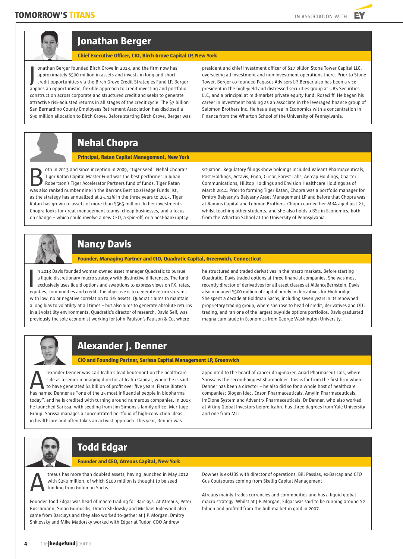### **TOMORROW'S TITANS IN ASSOCIATION WITH**

EY





### **Jonathan Berger**

#### **Chief Executive Officer, CIO, Birch Grove Capital LP, New York**

onathan Berger founded Birch Grove in 2013, and the firm now has approximately \$500 million in assets and invests in long and short credit opportunities via the Birch Grove Credit Strategies Fund LP. Berger applies an opportunistic, flexible approach to credit investing and portfolio construction across corporate and structured credit and seeks to generate attractive risk-adjusted returns in all stages of the credit cycle. The \$7 billion San Bernardino County Employees Retirement Association has disclosed a \$90 million allocation to Birch Grove. Before starting Birch Grove, Berger was J

president and chief investment officer of \$17 billion Stone Tower Capital LLC, overseeing all investment and non-investment operations there. Prior to Stone Tower, Berger co-founded Pegasus Advisers LP. Berger also has been a vice president in the high-yield and distressed securities group at UBS Securities LLC, and a principal at mid-market private equity fund, Rosecliff. He began his career in investment banking as an associate in the leveraged finance group of Salomon Brothers Inc. He has a degree in Economics with a concentration in Finance from the Wharton School of the University of Pennsylvania.

### **Nehal Chopra**

#### **Principal, Ratan Capital Management, New York**

oth in 2013 and since inception in 2009, "tiger seed" Nehal Chopra's Tiger Ratan Capital Master Fund was the best performer in Julian Robertson's Tiger Accelerator Partners fund of funds. Tiger Ratan oth in 2013 and since inception in 2009, "tiger seed" Nehal Chop<br>
Tiger Ratan Capital Master Fund was the best performer in Juliar<br>
Robertson's Tiger Accelerator Partners fund of funds. Tiger Ratan<br>
was also ranked number as the strategy has annualized at 25.41% in the three years to 2013. Tiger Ratan has grown to assets of more than \$565 million. In her investments Chopra looks for great management teams, cheap businesses, and a focus on change – which could involve a new CEO, a spin-off, or a post-bankruptcy

situation. Regulatory filings show holdings included Valeant Pharmaceuticals, Post Holdings, Actavis, Endo, Circor, Forest Labs, Aercap Holdings, Charter Communications, Hilltop Holdings and Envision Healthcare Holdings as of March 2014. Prior to forming Tiger Ratan, Chopra was a portfolio manager for Dmitry Balyasny's Balyasny Asset Management LP and before that Chopra was at Ramius Capital and Lehman Brothers. Chopra earned her MBA aged just 21, whilst teaching other students, and she also holds a BSc in Economics, both from the Wharton School at the University of Pennsylvania.



### **Nancy Davis**

**Founder, Managing Partner and CIO, Quadratic Capital, Greenwich, Connecticut** 

n 2013 Davis founded woman-owned asset manager Quadratic to pursue a liquid discretionary macro strategy with distinctive differences. The fund exclusively uses liquid options and swaptions to express views on FX, rates, n 2013 Davis founded woman-owned asset manager Quadratic to pursue<br>a liquid discretionary macro strategy with distinctive differences. The fund<br>exclusively uses liquid options and swaptions to express views on FX, rates<br>eq with low, no or negative correlation to risk assets. Quadratic aims to maintain a long bias to volatility at all times – but also aims to generate absolute returns in all volatility environments. Quadratic's director of research, David Seif, was previously the sole economist working for John Paulson's Paulson & Co, where

he structured and traded derivatives in the macro markets. Before starting Quadratic, Davis traded options at three financial companies. She was most recently director of derivatives for all asset classes at AllianceBernstein. Davis also managed \$500 million of capital purely in derivatives for Highbridge. She spent a decade at Goldman Sachs, including seven years in its renowned proprietary trading group, where she rose to head of credit, derivatives and OTC trading, and ran one of the largest buy-side options portfolios. Davis graduated magna cum laude in Economics from George Washington University.



# **Alexander J. Denner**

#### **CIO and Founding Partner, Sarissa Capital Management LP, Greenwich**

lexander Denner was Carl Icahn's lead lieutenant on the healthcare side as a senior managing director at Icahn Capital, where he is said to have generated \$2 billion of profit over five years. Fierce Biotech lexander Denner was Carl Icahn's lead lieutenant on the healthcare<br>side as a senior managing director at Icahn Capital, where he is sai<br>to have generated \$2 billion of profit over five years. Fierce Biotech<br>has named Denne today", and he is credited with turning around numerous companies. In 2013 he launched Sarissa, with seeding from Jim Simons's family office, Meritage Group. Sarissa manages a concentrated portfolio of high-conviction ideas in healthcare and often takes an activist approach. This year, Denner was

appointed to the board of cancer drug-maker, Ariad Pharmaceuticals, where Sarissa is the second-biggest shareholder. This is far from the first firm where Denner has been a director – he also did so for a whole host of healthcare companies: Biogen Idec, Enzon Pharmaceuticals, Amylin Pharmaceuticals, ImClone System and Adventrx Pharmaceuticals. Dr Denner, who also worked at Viking Global Investors before Icahn, has three degrees from Yale University and one from MIT.

# **Todd Edgar**

#### **Founder and CEO, Atreaus Capital, New York**

treaus has more than doubled assets, having launched in May 2012 with \$250 million, of which \$100 million is thought to be seed funding from Goldman Sachs. A

Founder Todd Edgar was head of macro trading for Barclays. At Atreaus, Peter Buschmann, Sinan Gumusdis, Dmitri Shklovsky and Michael Ridewood also came from Barclays and they also worked to-gether at J.P. Morgan. Dmitry Shklovsky and Mike Madorsky worked with Edgar at Tudor. COO Andrew

Downes is ex-UBS with director of operations, Bill Passias, ex-Barcap and CFO Gus Coutsouros coming from Skellig Capital Management.

Atreaus mainly trades currencies and commodities and has a liquid global macro strategy. Whilst at J.P. Morgan, Edgar was said to be running around \$2 billion and profited from the bull market in gold in 2007.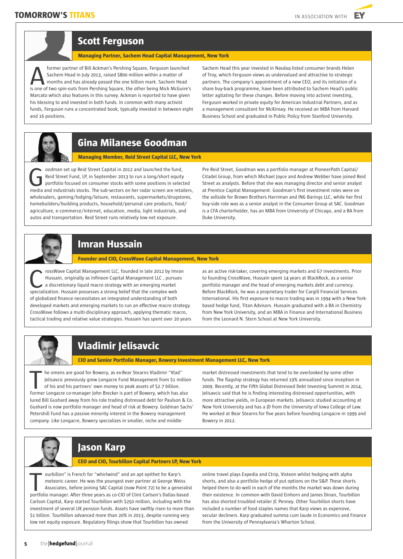

**Managing Partner, Sachem Head Capital Management, New York** 

former partner of Bill Ackman's Pershing Square, Ferguson launched Sachem Head in July 2013, raised \$800 million within a matter of months and has already passed the one billion mark. Sachem Head former partner of Bill Ackman's Pershing Square, Ferguson launched<br>Sachem Head in July 2013, raised \$800 million within a matter of<br>is one of two spin-outs from Pershing Square, the other being Mick McGuire's<br> Marcato which also features in this survey. Ackman is reported to have given his blessing to and invested in both funds. In common with many activist funds, Ferguson runs a concentrated book, typically invested in between eight and 16 positions.

Sachem Head this year invested in Nasdaq-listed consumer brands Helen of Troy, which Ferguson views as undervalued and attractive to strategic partners. The company's appointment of a new CEO, and its initiation of a share buy-back programme, have been attributed to Sachem Head's public letter agitating for these changes. Before moving into activist investing, Ferguson worked in private equity for American Industrial Partners, and as a management consultant for McKinsey. He received an MBA from Harvard Business School and graduated in Public Policy from Stanford University.



# **Gina Milanese Goodman**

**Managing Member, Reid Street Capital LLC, New York**

oodman set up Reid Street Capital in 2012 and launched the fund, Reid Street Fund, LP, in September 2013 to run a long/short equity portfolio focused on consumer stocks with some positions in selected oodman set up Reid Street Capital in 2012 and launched the fund,<br>
Reid Street Fund, LP, in September 2013 to run a long/short equity<br>
portfolio focused on consumer stocks with some positions in selected<br>
media and industri wholesalers, gaming/lodging/leisure, restaurants, supermarkets/drugstores, homebuilders/building products, household/personal care products, food/ agriculture, e-commerce/internet, education, media, light industrials, and autos and transportation. Reid Street runs relatively low net exposure.

Pre Reid Street, Goodman was a portfolio manager at PioneerPath Capital/ Citadel Group, from which Michael Joyce and Andrew Webber have joined Reid Street as analysts. Before that she was managing director and senior analyst at Prentice Capital Management. Goodman's first investment roles were on the sellside for Brown Brothers Harriman and ING Barings LLC, while her first buy-side role was as a senior analyst in the Consumer Group at SAC. Goodman is a CFA charterholder, has an MBA from University of Chicago, and a BA from Duke University.



### **Imran Hussain**

**Founder and CIO, CrossWave Capital Management, New York**

rossWave Capital Management LLC, founded in late 2012 by Imran Hussain, originally as Infineon Capital Management LLC , pursues a discretionary liquid macro strategy with an emerging market rossWave Capital Management LLC, founded in late 2012 by Imm<br>Hussain, originally as Infineon Capital Management LLC, pursue<br>a discretionary liquid macro strategy with an emerging market<br>specialization. Hussain possesses a of globalized finance necessitates an integrated understanding of both developed markets and emerging markets to run an effective macro strategy. CrossWave follows a multi-disciplinary approach, applying thematic macro, tactical trading and relative value strategies. Hussain has spent over 20 years

as an active risk-taker, covering emerging markets and G7 investments. Prior to founding CrossWave, Hussain spent 14 years at BlackRock, as a senior portfolio manager and the head of emerging markets debt and currency. Before BlackRock, he was a proprietary trader for Cargill Financial Services International. His first exposure to macro trading was in 1994 with a New Yorkbased hedge fund, Titan Advisors. Hussain graduated with a BA in Chemistry from New York University, and an MBA in Finance and International Business from the Leonard N. Stern School at New York University.



# **Vladimir Jelisavcic**

**CIO and Senior Portfolio Manager, Bowery Investment Management LLC, New York**

he omens are good for Bowery, as ex-Bear Stearns Vladimir "Vlad" Jelisavcic previously grew Longacre Fund Management from \$1 million of his and his partners' own money to peak assets of \$2.7 billion. Former Longacre co-manager John Brecker is part of Bowery, as ex-Bear Stearns Vladimir "Vlad"<br>
Jelisavcic previously grew Longacre Fund Management from \$1 million<br>
of his and his partners' own money to peak assets of \$2.7 lured Bill Gushard away from his role trading distressed debt for Paulson & Co. Gushard is now portfolio manager and head of risk at Bowery. Goldman Sachs' Petershill Fund has a passive minority interest in the Bowery management company. Like Longacre, Bowery specializes in smaller, niche and middle-

market distressed investments that tend to be overlooked by some other funds. The flagship strategy has returned 19% annualized since inception in 2009. Recently, at the Fifth Global Distressed Debt Investing Summit in 2014, Jelisavcic said that he is finding interesting distressed opportunities, with more attractive yields, in European markets. Jelisavcic studied accounting at New York University and has a JD from the University of Iowa College of Law. He worked at Bear Stearns for five years before founding Longacre in 1999 and Bowery in 2012.



### **Jason Karp**

**CEO and CIO, Tourbillon Capital Partners LP, New York** 

ourbillon" is French for "whirlwind" and an apt epithet for Karp's meteoric career. He was the youngest ever partner at George Weiss Associates, before joining SAC Capital (now Point 72) to be a generalist ourbillon" is French for "whirlwind" and an apt epithet for Karp's<br>meteoric career. He was the youngest ever partner at George Weiss<br>Associates, before joining SAC Capital (now Point 72) to be a generalis<br>portfolio manager Carlson Capital, Karp started Tourbillon with \$250 million, including with the investment of several UK pension funds. Assets have swiftly risen to more than \$1 billion. Tourbillon advanced more than 20% in 2013, despite running very low net equity exposure. Regulatory filings show that Tourbillon has owned

online travel plays Expedia and Ctrip, Visteon whilst hedging with alpha shorts, and also a portfolio hedge of put options on the S&P. These shorts helped them to do well in each of the months the market was down during their existence. In common with David Einhorn and James Dinan, Tourbillon has also shorted troubled retailer JC Penney. Other Tourbillon shorts have included a number of food staples names that Karp views as expensive, secular decliners. Karp graduated summa cum laude in Economics and Finance from the University of Pennsylvania's Wharton School.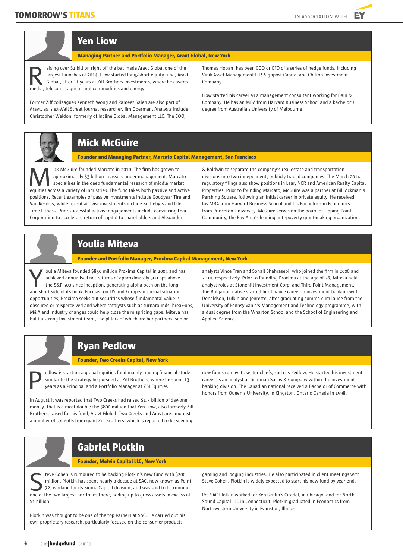

# **Yen Liow**

**Managing Partner and Portfolio Manager, Aravt Global, New York**

aising over \$1 billion right off the bat made Aravt Global one of the largest launches of 2014. Liow started long/short equity fund, Aravt Global, after 11 years at Ziff Brothers Investments, where he covered aising over \$1 billion right off the bat made Arav largest launches of 2014. Liow started long/sho Global, after 11 years at Ziff Brothers Investmen<br>media, telecoms, agricultural commodities and energy.

Former Ziff colleagues Kenneth Wong and Rameez Saleh are also part of Aravt, as is ex-Wall Street Journal researcher, Jim Oberman. Analysts include Christopher Weldon, formerly of Incline Global Management LLC. The COO,

Thomas Hoban, has been COO or CFO of a series of hedge funds, including Vinik Asset Management LLP, Signpost Capital and Chilton Investment Company.

Liow started his career as a management consultant working for Bain & Company. He has an MBA from Harvard Business School and a bachelor's degree from Australia's University of Melbourne.

# **Mick McGuire**

**Founder and Managing Partner, Marcato Capital Management, San Francisco** 

ick McGuire founded Marcato in 2010. The firm has grown to approximately \$3 billion in assets under management. Marcato specialises in the deep fundamental research of middle market ick McGuire founded Marcato in 2010. The firm has grown to<br>approximately \$3 billion in assets under management. Marcato<br>specialises in the deep fundamental research of middle market<br>equities across a variety of industries. positions. Recent examples of passive investments include Goodyear Tire and Vail Resorts, while recent activist investments include Sotheby's and Life Time Fitness. Prior successful activist engagements include convincing Lear Corporation to accelerate return of capital to shareholders and Alexander

& Baldwin to separate the company's real estate and transportation divisions into two independent, publicly traded companies. The March 2014 regulatory filings also show positions in Lear, NCR and American Realty Capital Properties. Prior to founding Marcato, McGuire was a partner at Bill Ackman's Pershing Square, following an initial career in private equity. He received his MBA from Harvard Business School and his Bachelor's in Economics from Princeton University. McGuire serves on the board of Tipping Point Community, the Bay Area's leading anti-poverty grant-making organization.

# **Youlia Miteva**

**Founder and Portfolio Manager, Proxima Capital Management, New York** 

oulia Miteva founded \$850 million Proxima Capital in 2004 and has achieved annualised net returns of approximately 500 bps above the S&P 500 since inception, generating alpha both on the long vulia Miteva founded \$850 million Proxima Capital in 2004 and have achieved annualised net returns of approximately 500 bps above the S&P 500 since inception, generating alpha both on the long and short side of its book. F opportunities, Proxima seeks out securities whose fundamental value is obscured or misperceived and where catalysts such as turnarounds, break-ups, M&A and industry changes could help close the mispricing gaps. Miteva has built a strong investment team, the pillars of which are her partners, senior

analysts Vince Tran and Sohail Shahrasebi, who joined the firm in 2008 and 2010, respectively. Prior to founding Proxima at the age of 28, Miteva held analyst roles at Stonehill Investment Corp. and Third Point Management. The Bulgarian native started her finance career in investment banking with Donaldson, Lufkin and Jenrette, after graduating summa cum laude from the University of Pennsylvania's Management and Technology programme, with a dual degree from the Wharton School and the School of Engineering and Applied Science.

### **Ryan Pedlow**

#### **Founder, Two Creeks Capital, New York**

edlow is starting a global equities fund mainly trading financial stocks, similar to the strategy he pursued at Ziff Brothers, where he spent 13 years as a Principal and a Portfolio Manager at ZBI Equities.

In August it was reported that Two Creeks had raised \$1.5 billion of day-one money. That is almost double the \$800 million that Yen Liow, also formerly Ziff Brothers, raised for his fund, Aravt Global. Two Creeks and Aravt are amongst a number of spin-offs from giant Ziff Brothers, which is reported to be seeding

new funds run by its sector chiefs, such as Pedlow. He started his investment career as an analyst at Goldman Sachs & Company within the investment banking a global equities fund mainly trading financial stocks, new funds run by its sector chiefs, such as Pedlow. He started his investment<br>
similar to the strategy he pursued at Ziff Brothers, where he spent 13<br>
years a honors from Queen's University, in Kingston, Ontario Canada in 1998.

### **Gabriel Plotkin**

#### **Founder, Melvin Capital LLC, New York**

teve Cohen is rumoured to be backing Plotkin's new fund with \$200 million. Plotkin has spent nearly a decade at SAC, now known as Point 72, working for its Sigma Capital division, and was said to be running feve Cohen is rumoured to be backing Plotkin's new fund with \$200 million. Plotkin has spent nearly a decade at SAC, now known as Point 72, working for its Sigma Capital division, and was said to be running one of the two \$1 billion.

Plotkin was thought to be one of the top earners at SAC. He carried out his own proprietary research, particularly focused on the consumer products,

gaming and lodging industries. He also participated in client meetings with Steve Cohen. Plotkin is widely expected to start his new fund by year end.

Pre SAC Plotkin worked for Ken Griffin's Citadel, in Chicago, and for North Sound Capital LLC in Connecticut. Plotkin graduated in Economics from Northwestern University in Evanston, Illinois.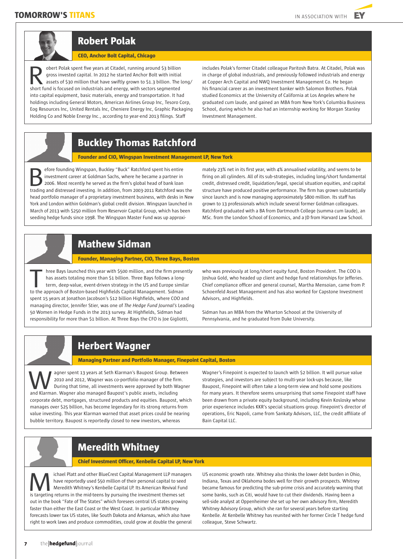

# **Robert Polak**

#### **CEO, Anchor Bolt Capital, Chicago**

obert Polak spent five years at Citadel, running around \$3 billion gross invested capital. In 2012 he started Anchor Bolt with initial assets of \$30 million that have swiftly grown to \$1.3 billion. The long/ short Polak spent five years at Citadel, running around \$3 billion gross invested capital. In 2012 he started Anchor Bolt with initial assets of \$30 million that have swiftly grown to \$1.3 billion. The short fund is focuse into capital equipment, basic materials, energy and transportation. It had holdings including General Motors, American Airlines Group Inc, Tesoro Corp, Eog Resources Inc, United Rentals Inc, Cheniere Energy Inc, Graphic Packaging Holding Co and Noble Energy Inc., according to year-end 2013 filings. Staff

includes Polak's former Citadel colleague Paritosh Batra. At Citadel, Polak was in charge of global industrials, and previously followed industrials and energy at Copper Arch Capital and NWQ Investment Management Co. He began his financial career as an investment banker with Salomon Brothers. Polak studied Economics at the University of California at Los Angeles where he graduated cum laude, and gained an MBA from New York's Columbia Business School, during which he also had an internship working for Morgan Stanley Investment Management.

# **Buckley Thomas Ratchford**

#### **Founder and CIO, Wingspan Investment Management LP, New York**

efore founding Wingspan, Buckley "Buck" Ratchford spent his entire investment career at Goldman Sachs, where he became a partner in 2006. Most recently he served as the firm's global head of bank loan the fore founding Wingspan, Buckley "Buck" Ratchford spent his entire<br>investment career at Goldman Sachs, where he became a partner in<br>2006. Most recently he served as the firm's global head of bank loan<br>trading and distre head portfolio manager of a proprietary investment business, with desks in New York and London within Goldman's global credit division. Wingspan launched in March of 2013 with \$250 million from Reservoir Capital Group, which has been seeding hedge funds since 1998. The Wingspan Master Fund was up approxi-

mately 23% net in its first year, with 4% annualised volatility, and seems to be firing on all cylinders. All of its sub-strategies, including long/short fundamental credit, distressed credit, liquidation/legal, special situation equities, and capital structure have produced positive performance. The firm has grown substantially since launch and is now managing approximately \$800 million. Its staff has grown to 13 professionals which include several former Goldman colleagues. Ratchford graduated with a BA from Dartmouth College (summa cum laude), an MSc. from the London School of Economics, and a JD from Harvard Law School.

### **Mathew Sidman**

#### **Founder, Managing Partner, CIO, Three Bays, Boston**

hree Bays launched this year with \$500 million, and the firm presently has assets totaling more than \$1 billion. Three Bays follows a longterm, deep-value, event-driven strategy in the US and Europe similar hree Bays launched this year with \$500 million, and the firm prese<br>has assets totaling more than \$1 billion. Three Bays follows a long-<br>term, deep-value, event-driven strategy in the US and Europe simil<br>to the approach of spent 15 years at Jonathon Jacobson's \$12 billion Highfields, where COO and managing director, Jennifer Stier, was one of *The Hedge Fund Journal's* Leading 50 Women in Hedge Funds in the 2013 survey. At Highfields, Sidman had responsibility for more than \$1 billion. At Three Bays the CFO is Joe Gigliotti,

who was previously at long/short equity fund, Boston Provident. The COO is Joshua Gold, who headed up client and hedge fund relationships for Jefferies. Chief compliance officer and general counsel, Martha Mensoian, came from P. Schoenfeld Asset Management and has also worked for Capstone Investment Advisors, and Highfields.

Sidman has an MBA from the Wharton Schoool at the University of Pennsylvania, and he graduated from Duke University.

### **Herbert Wagner**

#### **Managing Partner and Portfolio Manager, Finepoint Capital, Boston**

agner spent 13 years at Seth Klarman's Baupost Group. Between 2010 and 2012, Wagner was co-portfolio manager of the firm. During that time, all investments were approved by both Wagner agner spent 13 years at Seth Klarman's Baupost Group. Bety<br>
2010 and 2012, Wagner was co-portfolio manager of the firm<br>
2011 During that time, all investments were approved by both Wagner<br>
2018 and Klarman. Wagner also man corporate debt, mortgages, structured products and equities. Baupost, which manages over \$25 billion, has become legendary for its strong returns from value investing. This year Klarman warned that asset prices could be nearing bubble territory. Baupost is reportedly closed to new investors, whereas

Wagner's Finepoint is expected to launch with \$2 billion. It will pursue value strategies, and investors are subject to multi-year lock-ups because, like Baupost, Finepoint will often take a long-term view and hold some positions for many years. It therefore seems unsurprising that some Finepoint staff have been drawn from a private equity background, including Kevin Koslosky whose prior experience includes KKR's special situations group. Finepoint's director of operations, Eric Napoli, came from Sankaty Advisors, LLC, the credit affiliate of Bain Capital LLC.

### **Meredith Whitney**

#### **Chief Investment Officer, Kenbelle Capital LP, New York**

ichael Platt and other BlueCrest Capital Management LLP managers have reportedly used \$50 million of their personal capital to seed Meredith Whitney's Kenbelle Capital LP. Its American Revival Fund Ichael Platt and other BlueCrest Capital Management LLP manag<br>have reportedly used \$50 million of their personal capital to seed<br>Meredith Whitney's Kenbelle Capital LP. Its American Revival Fund<br>is targeting returns in the out in the book "Fate of The States" which foresees central US states growing faster than either the East Coast or the West Coast. In particular Whitney forecasts lower tax US states, like South Dakota and Arkansas, which also have right to work laws and produce commodities, could grow at double the general

US economic growth rate. Whitney also thinks the lower debt burden in Ohio, Indiana, Texas and Oklahoma bodes well for their growth prospects. Whitney became famous for predicting the sub-prime crisis and accurately warning that some banks, such as Citi, would have to cut their dividends. Having been a sell-side analyst at Oppenheimer she set up her own advisory firm, Meredith Whitney Advisory Group, which she ran for several years before starting Kenbelle. At Kenbelle Whitney has reunited with her former Circle T hedge fund colleague, Steve Schwartz.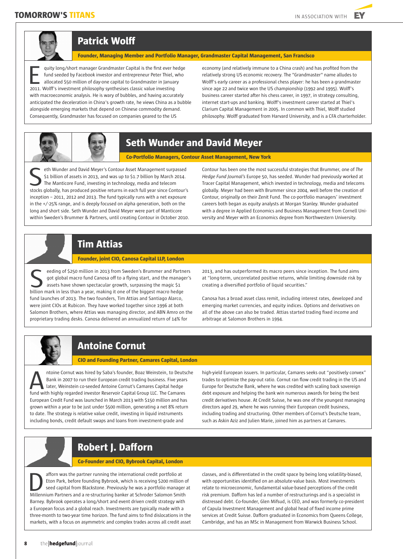

### **Patrick Wolff**

**Founder, Managing Member and Portfolio Manager, Grandmaster Capital Management, San Francisco** 

quity long/short manager Grandmaster Capital is the first ever hedge fund seeded by Facebook investor and entrepreneur Peter Thiel, who allocated \$50 million of day-one capital to Grandmaster in January quity long/short manager Grandmaster Capital is the first ever help fund seeded by Facebook investor and entrepreneur Peter Thiel, allocated \$50 million of day-one capital to Grandmaster in Januar 2011. Wolff's investment with macroeconomic analysis. He is wary of bubbles, and having accurately anticipated the deceleration in China's growth rate, he views China as a bubble alongside emerging markets that depend on Chinese commodity demand. Consequently, Grandmaster has focused on companies geared to the US

economy (and relatively immune to a China crash) and has profited from the relatively strong US economic recovery. The "Grandmaster" name alludes to Wolff's early career as a professional chess player: he has been a grandmaster since age 22 and twice won the US championship (1992 and 1995). Wolff's business career started after his chess career, in 1997, in strategy consulting, internet start-ups and banking. Wolff's investment career started at Thiel's Clarium Capital Management in 2005. In common with Thiel, Wolff studied philosophy. Wolff graduated from Harvard University, and is a CFA charterholder.



# **Seth Wunder and David Meyer**

**Co-Portfolio Managers, Contour Asset Management, New York** 

eth Wunder and David Meyer's Contour Asset Management surpassed \$1 billion of assets in 2013, and was up to \$1.7 billion by March 2014. The Manticore Fund, investing in technology, media and telecom stocks globally, has produced positive returns in each full year since Contour's S1 billion of assets in 2013, and was up to \$1.7 billion by March 2014.<br>The Manticore Fund, investing in technology, media and telecom stocks inception – 2011, 2012 and 2013. The fund typically runs with a net exposure in the +/-25% range, and is deeply focused on alpha generation, both on the long and short side. Seth Wunder and David Meyer were part of Manticore within Sweden's Brummer & Partners, until creating Contour in October 2010.

Contour has been one the most successful strategies that Brummer, one of *The Hedge Fund Journal's* Europe 50, has seeded. Wunder had previously worked at Tracer Capital Management, which invested in technology, media and telecoms globally. Meyer had been with Brummer since 2004, well before the creation of Contour, originally on their Zenit Fund. The co-portfolio managers' investment careers both began as equity analysts at Morgan Stanley. Wunder graduated with a degree in Applied Economics and Business Management from Cornell University and Meyer with an Economics degree from Northwestern University.

# **Tim Attias**

#### **Founder, joint CIO, Canosa Capital LLP, London**

eeding of \$250 million in 2013 from Sweden's Brummer and Partners got global macro fund Canosa off to a flying start, and the manager's assets have shown spectacular growth, surpassing the magic \$1 billion mark in less than a year, making it one of the biggest macro hedge billion mark in less than a year, making it one of the biggest macro hedge billion mark in less than a year, making it one of the biggest macro hed fund launches of 2013. The two founders, Tim Attias and Santiago Alarco, were joint CIOs at Rubicon. They have worked together since 1996 at both Salomon Brothers, where Attias was managing director, and ABN Amro on the proprietary trading desks. Canosa delivered an annualized return of 14% for

2013, and has outperformed its macro peers since inception. The fund aims at "long-term, uncorrelated positive returns, while limiting downside risk by creating a diversified portfolio of liquid securities."

Canosa has a broad asset class remit, including interest rates, developed and emerging market currencies, and equity indices. Options and derivatives on all of the above can also be traded. Attias started trading fixed income and arbitrage at Salomon Brothers in 1994.



# **Antoine Cornut**

#### **CIO and Founding Partner, Camares Capital, London**

ntoine Cornut was hired by Saba's founder, Boaz Weinstein, to Deutsche Bank in 2007 to run their European credit trading business. Five years later, Weinstein co-seeded Antoine Cornut's Camares Capital hedge fund with highly regarded investor Reservoir Capital Group LLC. The Camares Capital hedge fund with highly regarded investor Reservoir Capital Group LLC. The Camares Capital Article 3. European Credit Fund was launched in March 2013 with \$150 million and has grown within a year to be just under \$500 million, generating a net 8% return to date. The strategy is relative value credit, investing in liquid instruments including bonds, credit default swaps and loans from investment-grade and

high-yield European issuers. In particular, Camares seeks out "positively convex" trades to optimize the pay-out ratio. Cornut ran flow credit trading in the US and Europe for Deutsche Bank, where he was credited with scaling back sovereign debt exposure and helping the bank win numerous awards for being the best credit derivatives house. At Credit Suisse, he was one of the youngest managing directors aged 29, where he was running their European credit business, including trading and structuring. Other members of Cornut's Deutsche team, such as Askin Aziz and Julien Marie, joined him as partners at Camares.

# **Robert J. Dafforn**

#### **Co-Founder and CIO, Bybrook Capital, London**

afforn was the partner running the international credit portfolio at Eton Park, before founding Bybrook, which is receiving \$200 million of seed capital from Blackstone. Previously he was a portfolio manager at afforn was the partner running the international credit portfolio at Eton Park, before founding Bybrook, which is receiving \$200 million cosed capital from Blackstone. Previously he was a portfolio manager is Millennium Pa Barney. Bybrook operates a long/short and event driven credit strategy with a European focus and a global reach. Investments are typically made with a three-month to two-year time horizon. The fund aims to find dislocations in the markets, with a focus on asymmetric and complex trades across all credit asset

classes, and is differentiated in the credit space by being long volatility-biased, with opportunities identified on an absolute-value basis. Most investments relate to microeconomic, fundamental value-based perceptions of the credit risk premium. Dafforn has led a number of restructurings and is a specialist in distressed debt. Co-founder, Glen Mifsud, is CEO, and was formerly co-president of Capula Investment Management and global head of fixed income prime services at Credit Suisse. Dafforn graduated in Economics from Queens College, Cambridge, and has an MSc in Management from Warwick Business School.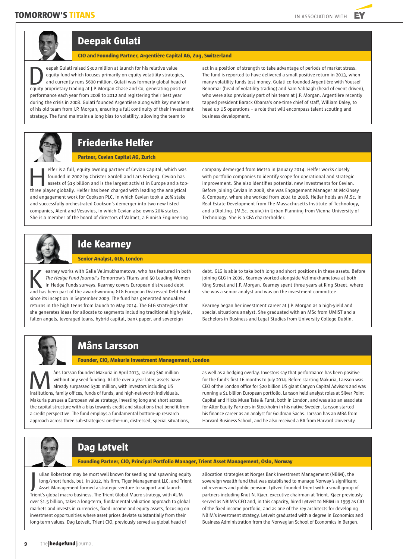

### **Deepak Gulati**

**CIO and Founding Partner, Argentière Capital AG, Zug, Switzerland**

eepak Gulati raised \$300 million at launch for his relative value equity fund which focuses primarily on equity volatility strategies. and currently runs \$600 million. Gulati was formerly global head of eepak Gulati raised \$300 million at launch for his relative value<br>equity fund which focuses primarily on equity volatility strategies,<br>and currently runs \$600 million. Gulati was formerly global head of<br>equity proprietary performance each year from 2008 to 2012 and registering their best year during the crisis in 2008. Gulati founded Argentière along with key members of his old team from J.P. Morgan, ensuring a full continuity of their investment strategy. The fund maintains a long bias to volatility, allowing the team to

act in a position of strength to take advantage of periods of market stress. The fund is reported to have delivered a small positive return in 2013, when many volatility funds lost money. Gulati co-founded Argentière with Youssef Benomar (head of volatility trading) and Sam Sabbagh (head of event driven), who were also previously part of his team at J.P. Morgan. Argentière recently tapped president Barack Obama's one-time chief of staff, William Daley, to head up US operations – a role that will encompass talent scouting and business development.



### **Partner, Cevian Capital AG, Zurich**

elfer is a full, equity owning partner of Cevian Capital, which was founded in 2002 by Christer Gardell and Lars Forberg. Cevian has assets of \$13 billion and is the largest activist in Europe and a topelfer is a full, equity owning partner of Cevian Capital, which was<br>founded in 2002 by Christer Gardell and Lars Forberg. Cevian has<br>assets of \$13 billion and is the largest activist in Europe and a top<br>three player global and engagement work for Cookson PLC, in which Cevian took a 20% stake and successfully orchestrated Cookson's demerger into two new listed companies, Alent and Vesuvius, in which Cevian also owns 20% stakes. She is a member of the board of directors of Valmet, a Finnish Engineering

company demerged from Metso in January 2014. Helfer works closely with portfolio companies to identify scope for operational and strategic improvement. She also identifies potential new investments for Cevian. Before joining Cevian in 2008, she was Engagement Manager at McKinsey & Company, where she worked from 2004 to 2008. Helfer holds an M.Sc. in Real Estate Development from The Massachusetts Institute of Technology, and a Dipl.Ing. (M.Sc. equiv.) in Urban Planning from Vienna University of Technology. She is a CFA charterholder.



### **Ide Kearney**

#### **Senior Analyst, GLG, London**

earney works with Galia Velimukhametova, who has featured in both *The Hedge Fund Journal's* Tomorrow's Titans and 50 Leading Women In Hedge Funds surveys. Kearney covers European distressed debt earney works with Galia Velimukhametova, who has featured in both<br>The Hedge Fund Journal's Tomorrow's Titans and 50 Leading Women<br>In Hedge Funds surveys. Kearney covers European distressed debt<br>and has been part of the awa since its inception in September 2009. The fund has generated annualized returns in the high teens from launch to May 2014. The GLG strategies that she generates ideas for allocate to segments including traditional high-yield, fallen angels, leveraged loans, hybrid capital, bank paper, and sovereign

debt. GLG is able to take both long and short positions in these assets. Before joining GLG in 2009, Kearney worked alongside Velimukhametova at both King Street and J.P. Morgan. Kearney spent three years at King Street, where she was a senior analyst and was on the investment committee.

Kearney began her investment career at J.P. Morgan as a high-yield and special situations analyst. She graduated with an MSc from UMIST and a Bachelors in Business and Legal Studies from University College Dublin.

# **Måns Larsson**

#### **Founder, CIO, Makuria Investment Management, London**

åns Larsson founded Makuria in April 2013, raising \$60 million without any seed funding. A little over a year later, assets have already surpassed \$300 million, with investors including US ans Larsson founded Makuria in April 2013, raising \$60 million without any seed funding. A little over a year later, assets have already surpassed \$300 million, with investors including US institutions, family offices, fun Makuria pursues a European value strategy, investing long and short across the capital structure with a bias towards credit and situations that benefit from a credit perspective. The fund employs a fundamental bottom-up research approach across three sub-strategies: on-the-run, distressed, special situations,

as well as a hedging overlay. Investors say that performance has been positive for the fund's first 16 months to July 2014. Before starting Makuria, Larsson was CEO of the London office for \$20 billion US giant Canyon Capital Advisors and was running a \$1 billion European portfolio. Larsson held analyst roles at Silver Point Capital and Hicks Muse Tate & Furst, both in London, and was also an associate for Altor Equity Partners in Stockholm in his native Sweden. Larsson started his finance career as an analyst for Goldman Sachs. Larsson has an MBA from Harvard Business School, and he also received a BA from Harvard University.



# **Dag Løtveit**

**Founding Partner, CIO, Principal Portfolio Manager, Trient Asset Management, Oslo, Norway** 

ulian Robertson may be most well known for seeding and spawning equity long/short funds, but, in 2012, his firm, Tiger Management LLC, and Trient Asset Management formed a strategic venture to support and launch Trient's global macro business. The Trient Global Macro strategy, with AUM over \$1.5 billion, takes a long-term, fundamental valuation approach to global markets and invests in currencies, fixed income and equity assets, focusing on investment opportunities where asset prices deviate substantially from their long-term values. Dag Løtveit, Trient CIO, previously served as global head of J

allocation strategies at Norges Bank Investment Management (NBIM), the sovereign wealth fund that was established to manage Norway's significant oil revenues and public pension. Løtveit founded Trient with a small group of partners including Knut N. Kjaer, executive chairman at Trient. Kjaer previously served as NBIM's CEO and, in this capacity, hired Løtveit to NBIM in 1999 as CIO of the fixed income portfolio, and as one of the key architects for developing NBIM's investment strategy. Løtveit graduated with a degree in Economics and Business Administration from the Norwegian School of Economics in Bergen.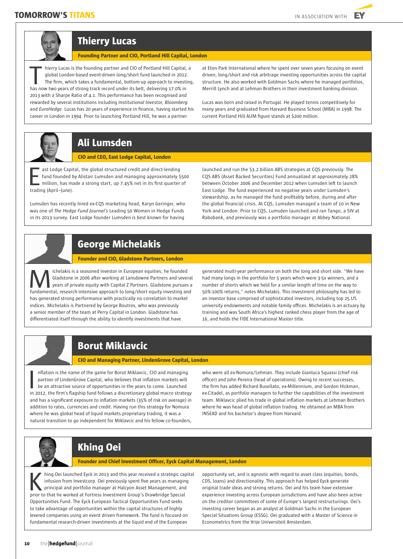

### **Thierry Lucas**

**Founding Partner and CIO, Portland Hill Capital, London**

hierry Lucas is the founding partner and CIO of Portland Hill Capital, a global London-based event-driven long/short fund launched in 2012. The firm, which takes a fundamental, bottom-up approach to investing, hierry Lucas is the founding partner and CIO of Portland Hill Capital, global London-based event-driven long/short fund launched in 2012<br>The firm, which takes a fundamental, bottom-up approach to investi<br>has now two years 2013 with a Sharpe Ratio of 4.1. This performance has been recognised and rewarded by several institutions including *Institutional Investor, Bloomberg*  and *EuroHedge*. Lucas has 20 years of experience in finance, having started his career in London in 1994. Prior to launching Portland Hill, he was a partner

at Eton Park International where he spent over seven years focusing on event driven, long/short and risk arbitrage investing opportunities across the capital structure. He also worked with Goldman Sachs where he managed portfolios, Merrill Lynch and at Lehman Brothers in their investment banking division.

Lucas was born and raised in Portugal. He played tennis competitively for many years and graduated from Harvard Business School (MBA) in 1998. The current Portland Hill AUM figure stands at \$200 million.



### **Ali Lumsden**

**CIO and CEO, East Lodge Capital, London**

ast Lodge Capital, the global structured credit and direct-lending fund founded by Alistair Lumsden and managing approximately \$500 million, has made a strong start, up 7.45% net in its first quarter of ast Lodge Capit<br>
fund founded by<br>
million, has maximating (April–June).

Lumsden has recently hired ex-CQS marketing head, Karyn Geringer, who was one of *The Hedge Fund Journal's* Leading 50 Women in Hedge Funds in its 2013 survey. East Lodge founder Lumsden is best known for having

launched and run the \$3.2 billion ABS strategies at CQS previously. The CQS ABS (Asset Backed Securities) Fund annualized at approximately 28% between October 2006 and December 2012 when Lumsden left to launch East Lodge. The fund experienced no negative years under Lumsden's stewardship, as he managed the fund profitably before, during and after the global financial crisis. At CQS, Lumsden managed a team of 10 in New York and London. Prior to CQS, Lumsden launched and ran Tango, a SIV at Rabobank, and previously was a portfolio manager at Abbey National.



# **George Michelakis**

**Founder and CIO, Gladstone Partners, London**

ichelakis is a seasoned investor in European equities; he founded Gladstone in 2006 after working at Lansdowne Partners and several years of private equity with Capital Z Partners. Gladstone pursues a **fundamental** is a seasoned investor in European equities; he founded<br>Gladstone in 2006 after working at Lansdowne Partners and several<br>fundamental, research-intensive approach to long/short equity investing and has generated strong performance with practically no correlation to market indices. Michelakis is Partnered by George Boutros, who was previously a senior member of the team at Perry Capital in London. Gladstone has differentiated itself through the ability to identify investments that have

generated multi-year performance on both the long and short side. "We have had many longs in the portfolio for 5 years which were 3-5x winners, and a number of shorts which we held for a similar length of time on the way to 50%-100% returns," notes Michelakis. This investment philosophy has led to an investor base comprised of sophisticated investors, including top 25 US university endowments and notable family offices. Michelakis is an actuary by training and was South Africa's highest ranked chess player from the age of 16, and holds the FIDE International Master title.

# **Borut Miklavcic**

**CIO and Managing Partner, LindenGrove Capital, London**

nflation is the name of the game for Borut Miklavcic, CIO and managing partner of LindenGrove Capital, who believes that inflation markets will be an attractive source of opportunities in the years to come. Launched Inflation is the name of the game for Borut Miklavcic, CIO and managing<br>partner of LindenGrove Capital, who believes that inflation markets will<br>be an attractive source of opportunities in the years to come. Launched<br>in 20 and has a significant exposure to inflation markets (35% of risk on average) in addition to rates, currencies and credit. Having run this strategy for Nomura where he was global head of liquid markets proprietary trading, it was a natural transition to go independent for Miklavcic and his fellow co-founders,

who were all ex-Nomura/Lehman. They include Gianluca Squassi (chief risk officer) and John Pereira (head of operations). Owing to recent successes, the firm has added Richard Busellato, ex-Millennium, and Gordon Hickman, ex-Citadel, as portfolio managers to further the capabilities of the investment team. Miklavcic plied his trade in global inflation markets at Lehman Brothers where he was head of global inflation trading. He obtained an MBA from INSEAD and his bachelor's degree from Harvard.



# **Khing Oei**

**Founder and Chief Investment Officer, Eyck Capital Management, London**

hing Oei launched Eyck in 2013 and this year received a strategic capital infusion from Investcorp. Oei previously spent five years as managing principal and portfolio manager at Halcyon Asset Management, and hing Oei launched Eyck in 2013 and this year received a strategic cap<br>infusion from Investcorp. Oei previously spent five years as managin<br>principal and portfolio manager at Halcyon Asset Management, and<br>prior to that he w Opportunities Fund. The Eyck European Tactical Opportunities Fund seeks to take advantage of opportunities within the capital structures of highly levered companies using an event driven framework. The fund is focused on fundamental research-driven investments at the liquid end of the European

opportunity set, and is agnostic with regard to asset class (equities, bonds, CDS, loans) and directionality. This approach has helped Eyck generate original trade ideas and strong returns. Oei and his team have extensive experience investing across European jurisdictions and have also been active on the creditor committees of some of Europe's largest restructurings. Oei's investing career began as an analyst at Goldman Sachs in the European Special Situations Group (ESSG). Oei graduated with a Master of Science in Econometrics from the Vrije Universiteit Amsterdam.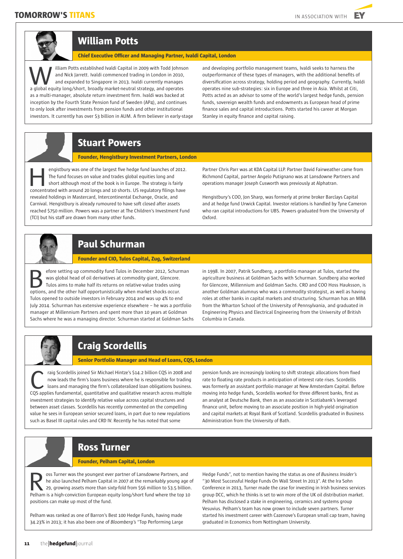



### **William Potts**

**Chief Executive Officer and Managing Partner, Ivaldi Capital, London**

illiam Potts established Ivaldi Capital in 2009 with Todd Johnson and Nick Jarrett. Ivaldi commenced trading in London in 2010. and expanded to Singapore in 2013. Ivaldi currently manages illiam Potts established Ivaldi Capital in 2009 with Todd Johnson and Nick Jarrett. Ivaldi commenced trading in London in 2010, and expanded to Singapore in 2013. Ivaldi currently manages a global equity long/short, broadl as a multi-manager, absolute return investment firm. Ivaldi was backed at inception by the Fourth State Pension fund of Sweden (AP4), and continues to only look after investments from pension funds and other institutional investors. It currently has over \$3 billion in AUM. A firm believer in early-stage

and developing portfolio management teams, Ivaldi seeks to harness the outperformance of these types of managers, with the additional benefits of diversification across strategy, holding period and geography. Currently, Ivaldi operates nine sub-strategies: six in Europe and three in Asia. Whilst at Citi, Potts acted as an advisor to some of the world's largest hedge funds, pension funds, sovereign wealth funds and endowments as European head of prime finance sales and capital introductions. Potts started his career at Morgan Stanley in equity finance and capital raising.

### **Stuart Powers**

**Founder, Hengistbury Investment Partners, London** 

engistbury was one of the largest five hedge fund launches of 2012. The fund focuses on value and trades global equities long and short although most of the book is in Europe. The strategy is fairly engistbury was one of the largest five hedge fund launches of 2012.<br>The fund focuses on value and trades global equities long and<br>short although most of the book is in Europe. The strategy is fairly<br>concentrated with aroun revealed holdings in Mastercard, Intercontinental Exchange, Oracle, and Carnival. Hengistbury is already rumoured to have soft closed after assets reached \$750 million. Powers was a partner at The Children's Investment Fund (TCI) but his staff are drawn from many other funds.

Partner Chris Parr was at KDA Capital LLP. Partner David Fairweather came from Richmond Capital, partner Angelo Putignano was at Lansdowne Partners and operations manager Joseph Cusworth was previously at Alphatran.

Hengistbury's COO, Jon Sharp, was formerly at prime broker Barclays Capital and at hedge fund Urwick Capital. Investor relations is handled by Tyne Cameron who ran capital introductions for UBS. Powers graduated from the University of Oxford.



### **Paul Schurman**

**Founder and CIO, Tulos Capital, Zug, Switzerland**

efore setting up commodity fund Tulos in December 2012, Schurman was global head of oil derivatives at commodity giant, Glencore. Tulos aims to make half its returns on relative-value trades using **Example 18 Solutions, and the other half opportunistically when market shocks occur.**<br> **But the other half opportunistically when market shocks occur.**<br> **But the other half opportunistically when market shocks occur.** Tulos opened to outside investors in February 2014 and was up 4% to end July 2014. Schurman has extensive experience elsewhere – he was a portfolio manager at Millennium Partners and spent more than 10 years at Goldman Sachs where he was a managing director. Schurman started at Goldman Sachs

in 1998. In 2007, Patrik Sundberg, a portfolio manager at Tulos, started the agriculture business at Goldman Sachs with Schurman. Sundberg also worked for Glencore, Millennium and Goldman Sachs. CRO and COO Hoss Hauksson, is another Goldman alumnus who was a commodity strategist, as well as having roles at other banks in capital markets and structuring. Schurman has an MBA from the Wharton School of the University of Pennsylvania, and graduated in Engineering Physics and Electrical Engineering from the University of British Columbia in Canada.

# **Craig Scordellis**

#### **Senior Portfolio Manager and Head of Loans, CQS, London**

raig Scordellis joined Sir Michael Hintze's \$14.2 billion CQS in 2008 and now leads the firm's loans business where he is responsible for trading loans and managing the firm's collateralized loan obligations business. The paper of the firm's consequent in the search across multiple for the loans and managing the firm's collateralized loan obligations business.<br>CQS applies fundamental, quantitative and qualitative research across multipl investment strategies to identify relative value across capital structures and between asset classes. Scordellis has recently commented on the compelling value he sees in European senior secured loans, in part due to new regulations such as Basel III capital rules and CRD IV. Recently he has noted that some

pension funds are increasingly looking to shift strategic allocations from fixed rate to floating rate products in anticipation of interest rate rises. Scordellis was formerly an assistant portfolio manager at New Amsterdam Capital. Before moving into hedge funds, Scordellis worked for three different banks, first as an analyst at Deutsche Bank, then as an associate in Scotiabank's leveraged finance unit, before moving to an associate position in high-yield origination and capital markets at Royal Bank of Scotland. Scordellis graduated in Business Administration from the University of Bath.

### **Ross Turner**

#### **Founder, Pelham Capital, London**

oss Turner was the youngest ever partner of Lansdowne Partners, and he also launched Pelham Capital in 2007 at the remarkably young age of 29, growing assets more than sixty-fold from \$56 million to \$3.5 billion. Sos Turner was the youngest ever partner of Lansdowne Partners, and<br>he also launched Pelham Capital in 2007 at the remarkably young age c<br>29, growing assets more than sixty-fold from \$56 million to \$3.5 billion.<br>Pelham is positions can make up most of the fund.

Pelham was ranked as one of Barron's Best 100 Hedge Funds, having made 34.23% in 2013; it has also been one of *Bloomberg's* "Top Performing Large

Hedge Funds", not to mention having the status as one of *Business Insider's*  "30 Most Successful Hedge Funds On Wall Street In 2013". At the Ira Sohn Conference in 2013, Turner made the case for investing in Irish business services group DCC, which he thinks is set to win more of the UK oil distribution market. Pelham has disclosed a stake in engineering, ceramics and systems group Vesuvius. Pelham's team has now grown to include seven partners. Turner started his investment career with Cazenove's European small cap team, having graduated in Economics from Nottingham University.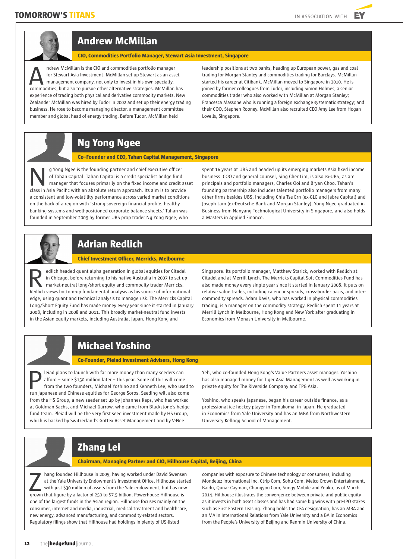

# **Andrew McMillan**

**CIO, Commodities Portfolio Manager, Stewart Asia Investment, Singapore**

ndrew McMillan is the CIO and commodities portfolio manager for Stewart Asia Investment. McMillan set up Stewart as an asset management company, not only to invest in his own specialty, ndrew McMillan is the CIO and commodities portfolio manager<br>for Stewart Asia Investment. McMillan set up Stewart as an asset<br>management company, not only to invest in his own specialty,<br>commodities, but also to pursue othe experience of trading both physical and derivative commodity markets. New Zealander McMillan was hired by Tudor in 2002 and set up their energy trading business. He rose to become managing director, a management committee member and global head of energy trading. Before Tudor, McMillan held

leadership positions at two banks, heading up European power, gas and coal trading for Morgan Stanley and commodities trading for Barclays. McMillan started his career at Citibank. McMillan moved to Singapore in 2010. He is joined by former colleagues from Tudor, including Simon Holmes, a senior commodities trader who also worked with McMillan at Morgan Stanley; Francesca Massone who is running a foreign exchange systematic strategy; and their COO, Stephen Rooney. McMillan also recruited CEO Amy Lee from Hogan Lovells, Singapore.

# **Ng Yong Ngee**

**Co–Founder and CEO, Tahan Capital Management, Singapore** 

g Yong Ngee is the founding partner and chief executive officer of Tahan Capital. Tahan Capital is a credit specialist hedge fund manager that focuses primarily on the fixed income and credit asset g Yong Ngee is the founding partner and chief executive officer<br>of Tahan Capital. Tahan Capital is a credit specialist hedge fund<br>manager that focuses primarily on the fixed income and credit as:<br>class in Asia Pacific with a consistent and low-volatility performance across varied market conditions on the back of a region with 'strong sovereign financial profile, healthy banking systems and well-positioned corporate balance sheets.' Tahan was founded in September 2009 by former UBS prop trader Ng Yong Ngee, who

spent 16 years at UBS and headed up its emerging markets Asia fixed income business. COO and general counsel, Sing Cher Lim, is also ex-UBS, as are principals and portfolio managers, Charles Ooi and Bryan Choo. Tahan's founding partnership also includes talented portfolio managers from many other firms besides UBS, including Chia Tse Ern (ex-GLG and Jabre Capital) and Joseph Lam (ex-Deutsche Bank and Morgan Stanley). Yong Ngee graduated in Business from Nanyang Technological University in Singapore, and also holds a Masters in Applied Finance.



# **Adrian Redlich**

**Chief Investment Officer, Merricks, Melbourne**

edlich headed quant alpha generation in global equities for Citadel in Chicago, before returning to his native Australia in 2007 to set up market-neutral long/short equity and commodity trader Merricks. Elich headed quant alpha generation in global equities for Citadel<br>
in Chicago, before returning to his native Australia in 2007 to set up<br>
market-neutral long/short equity and commodity trader Merricks.<br>
Redlich views bot edge, using quant and technical analysis to manage risk. The Merricks Capital Long/Short Equity Fund has made money every year since it started in January 2008, including in 2008 and 2011. This broadly market-neutral fund invests in the Asian equity markets, including Australia, Japan, Hong Kong and

Singapore. Its portfolio manager, Matthew Starick, worked with Redlich at Citadel and at Merrill Lynch. The Merricks Capital Soft Commodities Fund has also made money every single year since it started in January 2008. It puts on relative value trades, including calendar spreads, cross-border basis, and intercommodity spreads. Adam Davis, who has worked in physical commodities trading, is a manager on the commodity strategy. Redlich spent 11 years at Merrill Lynch in Melbourne, Hong Kong and New York after graduating in Economics from Monash University in Melbourne.

# **Michael Yoshino**

**Co-Founder, Pleiad Investment Advisers, Hong Kong** 

leiad plans to launch with far more money than many seeders can afford – some \$150 million later – this year. Some of this will come from the two founders, Michael Yoshino and Kenneth Lee, who used to leiad plans to launch with far more money than many seeders can<br>afford – some \$150 million later – this year. Some of this will come<br>from the two founders, Michael Yoshino and Kenneth Lee, who used to<br>run Japanese and Chin from the HS Group, a new seeder set up by Johannes Kaps, who has worked at Goldman Sachs, and Michael Garrow, who came from Blackstone's hedge fund team. Pleiad will be the very first seed investment made by HS Group, which is backed by Switzerland's Gottex Asset Management and by V-Nee

Yeh, who co-founded Hong Kong's Value Partners asset manager. Yoshino has also managed money for Tiger Asia Management as well as working in private equity for The Riverside Company and TPG Asia.

Yoshino, who speaks Japanese, began his career outside finance, as a professional ice hockey player in Tomakomai in Japan. He graduated in Economics from Yale University and has an MBA from Northwestern University Kellogg School of Management.

# **Zhang Lei**

**Chairman, Managing Partner and CIO, Hillhouse Capital, Beijing, China** 

hang founded Hillhouse in 2005, having worked under David Swensen at the Yale University Endowment's Investment Office. Hillhouse started with just \$30 million of assets from the Yale endowment, but has now hang founded Hillhouse in 2005, having worked under David Swenser<br>at the Yale University Endowment's Investment Office. Hillhouse star<br>with just \$30 million of assets from the Yale endowment, but has now<br>grown that figure one of the largest funds in the Asian region. Hillhouse focuses mainly on the consumer, internet and media, industrial, medical treatment and healthcare, new energy, advanced manufacturing, and commodity-related sectors. Regulatory filings show that Hillhouse had holdings in plenty of US-listed

companies with exposure to Chinese technology or consumers, including Mondelez International Inc, Ctrip Com, Sohu Com, Melco Crown Entertainment, Baidu, Qunar Cayman, Changyou Com, Sungy Mobile and Youku, as of March 2014. Hillhouse illustrates the convergence between private and public equity as it invests in both asset classes and has had some big wins with pre-IPO stakes such as First Eastern Leasing. Zhang holds the CFA designation, has an MBA and an MA in International Relations from Yale University and a BA in Economics from the People's University of Beijing and Renmin University of China.